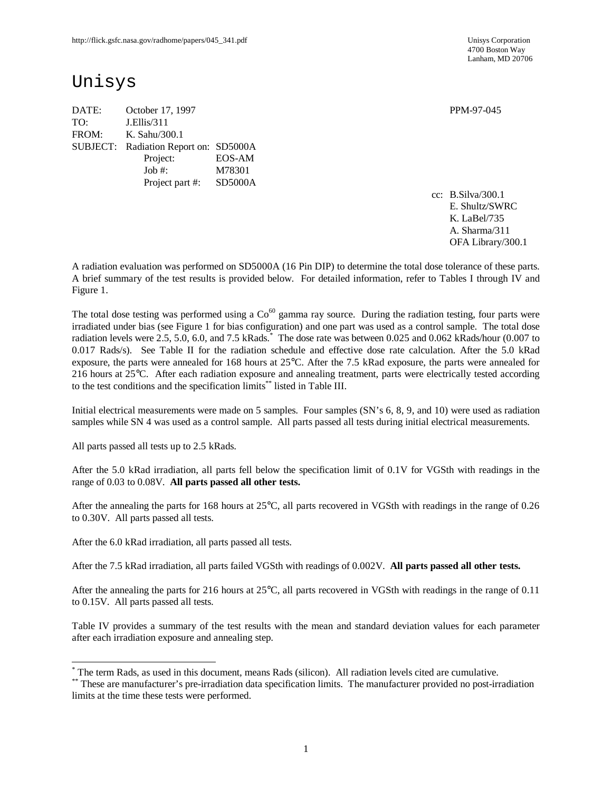4700 Boston Way Lanham, MD 20706

# Unisys

DATE: October 17, 1997 PPM-97-045 TO: J.Ellis/311 FROM: K. Sahu/300.1 SUBJECT: Radiation Report on: SD5000A Project: EOS-AM Job #: M78301 Project part #: SD5000A

cc: B.Silva/300.1 E. Shultz/SWRC K. LaBel/735 A. Sharma/311 OFA Library/300.1

A radiation evaluation was performed on SD5000A (16 Pin DIP) to determine the total dose tolerance of these parts. A brief summary of the test results is provided below. For detailed information, refer to Tables I through IV and Figure 1.

The total dose testing was performed using a  $Co<sup>60</sup>$  gamma ray source. During the radiation testing, four parts were irradiated under bias (see Figure 1 for bias configuration) and one part was used as a control sample. The total dose radiation levels were 2.5, 5.0, 6.0, and 7.5 kRads.<sup>\*</sup> The dose rate was between 0.025 and 0.062 kRads/hour (0.007 to 0.017 Rads/s). See Table II for the radiation schedule and effective dose rate calculation. After the 5.0 kRad exposure, the parts were annealed for 168 hours at 25°C. After the 7.5 kRad exposure, the parts were annealed for 216 hours at 25°C. After each radiation exposure and annealing treatment, parts were electrically tested according to the test conditions and the specification limits\*\* listed in Table III.

Initial electrical measurements were made on 5 samples. Four samples (SN's 6, 8, 9, and 10) were used as radiation samples while SN 4 was used as a control sample. All parts passed all tests during initial electrical measurements.

All parts passed all tests up to 2.5 kRads.

-

After the 5.0 kRad irradiation, all parts fell below the specification limit of 0.1V for VGSth with readings in the range of 0.03 to 0.08V. **All parts passed all other tests.**

After the annealing the parts for 168 hours at 25°C, all parts recovered in VGSth with readings in the range of 0.26 to 0.30V. All parts passed all tests.

After the 6.0 kRad irradiation, all parts passed all tests.

After the 7.5 kRad irradiation, all parts failed VGSth with readings of 0.002V. **All parts passed all other tests.**

After the annealing the parts for 216 hours at 25°C, all parts recovered in VGSth with readings in the range of 0.11 to 0.15V. All parts passed all tests.

Table IV provides a summary of the test results with the mean and standard deviation values for each parameter after each irradiation exposure and annealing step.

<sup>\*</sup> The term Rads, as used in this document, means Rads (silicon). All radiation levels cited are cumulative.

<sup>\*\*</sup> These are manufacturer's pre-irradiation data specification limits. The manufacturer provided no post-irradiation limits at the time these tests were performed.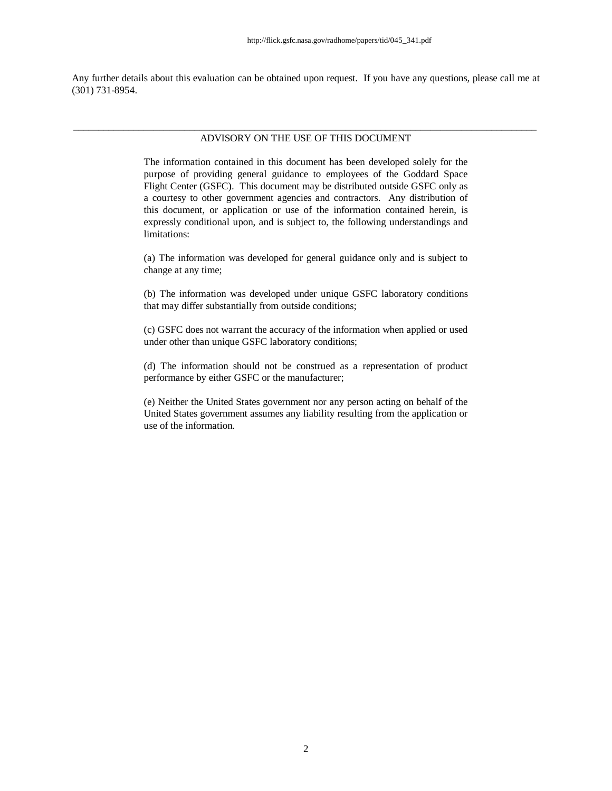Any further details about this evaluation can be obtained upon request. If you have any questions, please call me at (301) 731-8954.

#### \_\_\_\_\_\_\_\_\_\_\_\_\_\_\_\_\_\_\_\_\_\_\_\_\_\_\_\_\_\_\_\_\_\_\_\_\_\_\_\_\_\_\_\_\_\_\_\_\_\_\_\_\_\_\_\_\_\_\_\_\_\_\_\_\_\_\_\_\_\_\_\_\_\_\_\_\_\_\_\_\_\_\_\_\_\_\_\_\_\_\_\_ ADVISORY ON THE USE OF THIS DOCUMENT

The information contained in this document has been developed solely for the purpose of providing general guidance to employees of the Goddard Space Flight Center (GSFC). This document may be distributed outside GSFC only as a courtesy to other government agencies and contractors. Any distribution of this document, or application or use of the information contained herein, is expressly conditional upon, and is subject to, the following understandings and limitations:

(a) The information was developed for general guidance only and is subject to change at any time;

(b) The information was developed under unique GSFC laboratory conditions that may differ substantially from outside conditions;

(c) GSFC does not warrant the accuracy of the information when applied or used under other than unique GSFC laboratory conditions;

(d) The information should not be construed as a representation of product performance by either GSFC or the manufacturer;

(e) Neither the United States government nor any person acting on behalf of the United States government assumes any liability resulting from the application or use of the information.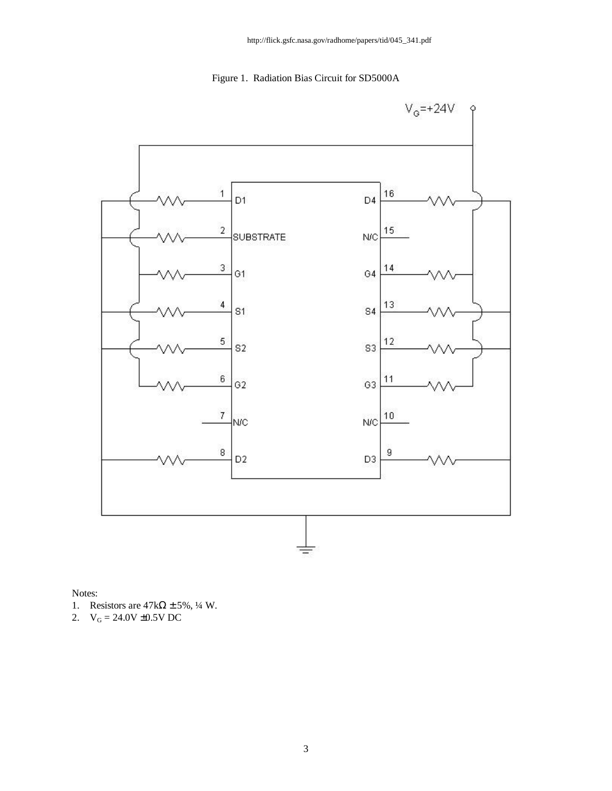Figure 1. Radiation Bias Circuit for SD5000A



Notes:

- 1. Resistors are  $47k\Omega \pm 5\%$ , ¼ W.
- 2.  $V_G = 24.0V \pm 0.5V$  DC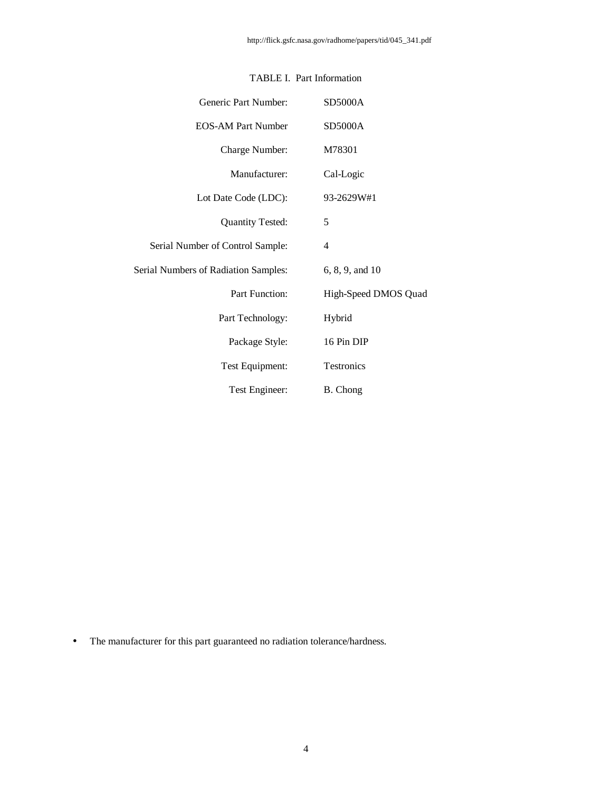| Generic Part Number:                 | <b>SD5000A</b>       |
|--------------------------------------|----------------------|
| <b>EOS-AM Part Number</b>            | <b>SD5000A</b>       |
| Charge Number:                       | M78301               |
| Manufacturer:                        | Cal-Logic            |
| Lot Date Code (LDC):                 | 93-2629W#1           |
| <b>Quantity Tested:</b>              | 5                    |
| Serial Number of Control Sample:     | 4                    |
| Serial Numbers of Radiation Samples: | 6, 8, 9, and 10      |
| <b>Part Function:</b>                | High-Speed DMOS Quad |
| Part Technology:                     | Hybrid               |
| Package Style:                       | 16 Pin DIP           |
| Test Equipment:                      | Testronics           |
| Test Engineer:                       | B. Chong             |

## TABLE I. Part Information

• The manufacturer for this part guaranteed no radiation tolerance/hardness.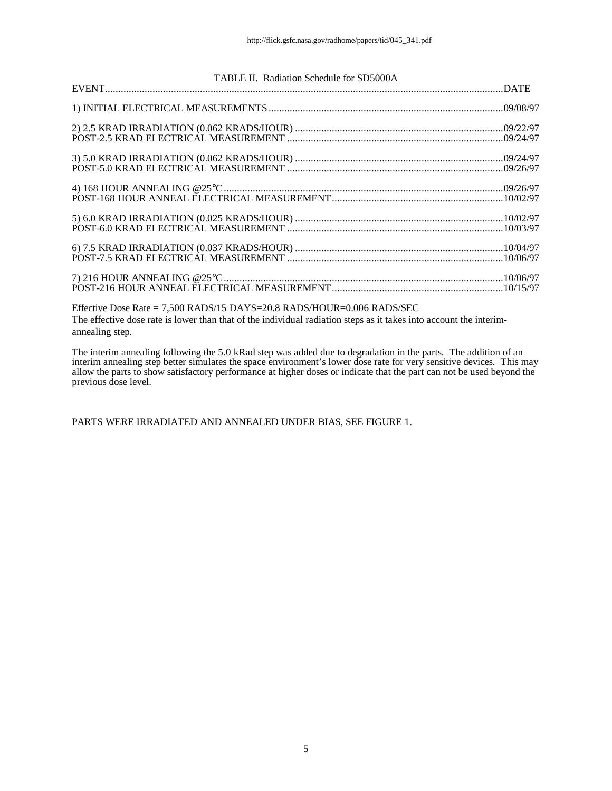| TABLE II. Radiation Schedule for SD5000A |  |
|------------------------------------------|--|
|                                          |  |
|                                          |  |
|                                          |  |
|                                          |  |
|                                          |  |
|                                          |  |
|                                          |  |
|                                          |  |
|                                          |  |
|                                          |  |
|                                          |  |
|                                          |  |
|                                          |  |
|                                          |  |
|                                          |  |

Effective Dose Rate = 7,500 RADS/15 DAYS=20.8 RADS/HOUR=0.006 RADS/SEC The effective dose rate is lower than that of the individual radiation steps as it takes into account the interimannealing step.

The interim annealing following the 5.0 kRad step was added due to degradation in the parts. The addition of an interim annealing step better simulates the space environment's lower dose rate for very sensitive devices. This may allow the parts to show satisfactory performance at higher doses or indicate that the part can not be used beyond the previous dose level.

PARTS WERE IRRADIATED AND ANNEALED UNDER BIAS, SEE FIGURE 1.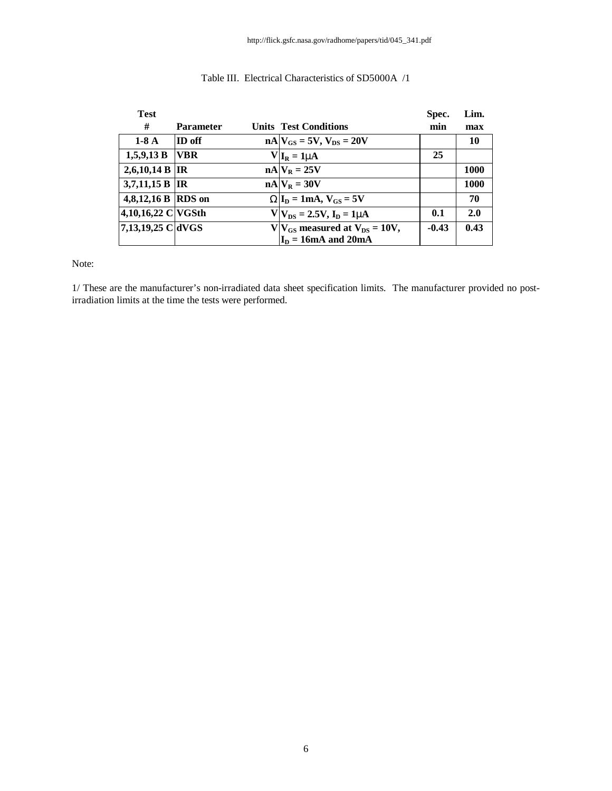| <b>Test</b>        |                  |                                         | Spec.   | Lim. |
|--------------------|------------------|-----------------------------------------|---------|------|
| #                  | <b>Parameter</b> | <b>Units Test Conditions</b>            | min     | max  |
| $1-8A$             | ID off           | $nA$ $V_{GS}$ = 5V, $V_{DS}$ = 20V      |         | 10   |
| 1,5,9,13 B         | <b>VBR</b>       | $V I_R = 1mA$                           | 25      |      |
| 2,6,10,14 B  IR    |                  | $nA$ $V_R = 25V$                        |         | 1000 |
| 3,7,11,15 B        | <b>IR</b>        | $nA V_R = 30V$                          |         | 1000 |
| 4,8,12,16 B RDS on |                  | $WI_D = 1mA, V_{GS} = 5V$               |         | 70   |
| 4,10,16,22 C VGSth |                  | $V V_{DS} = 2.5V, I_D = 1mA$            | 0.1     | 2.0  |
| 7,13,19,25 C dVGS  |                  | $V V_{GS}$ measured at $V_{DS} = 10V$ , | $-0.43$ | 0.43 |
|                    |                  | $I_D = 16mA$ and 20mA                   |         |      |

### Table III. Electrical Characteristics of SD5000A /1

Note:

1/ These are the manufacturer's non-irradiated data sheet specification limits. The manufacturer provided no postirradiation limits at the time the tests were performed.